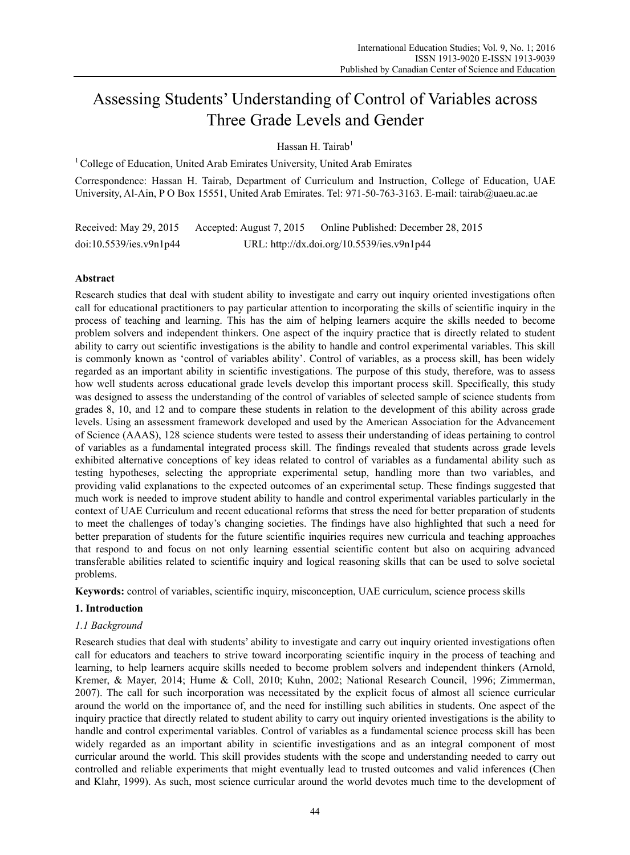# Assessing Students' Understanding of Control of Variables across Three Grade Levels and Gender

Hassan H. Tairab<sup>1</sup>

1 College of Education, United Arab Emirates University, United Arab Emirates

Correspondence: Hassan H. Tairab, Department of Curriculum and Instruction, College of Education, UAE University, Al-Ain, P O Box 15551, United Arab Emirates. Tel: 971-50-763-3163. E-mail: tairab@uaeu.ac.ae

Received: May 29, 2015 Accepted: August 7, 2015 Online Published: December 28, 2015 doi:10.5539/ies.v9n1p44 URL: http://dx.doi.org/10.5539/ies.v9n1p44

# **Abstract**

Research studies that deal with student ability to investigate and carry out inquiry oriented investigations often call for educational practitioners to pay particular attention to incorporating the skills of scientific inquiry in the process of teaching and learning. This has the aim of helping learners acquire the skills needed to become problem solvers and independent thinkers. One aspect of the inquiry practice that is directly related to student ability to carry out scientific investigations is the ability to handle and control experimental variables. This skill is commonly known as 'control of variables ability'. Control of variables, as a process skill, has been widely regarded as an important ability in scientific investigations. The purpose of this study, therefore, was to assess how well students across educational grade levels develop this important process skill. Specifically, this study was designed to assess the understanding of the control of variables of selected sample of science students from grades 8, 10, and 12 and to compare these students in relation to the development of this ability across grade levels. Using an assessment framework developed and used by the American Association for the Advancement of Science (AAAS), 128 science students were tested to assess their understanding of ideas pertaining to control of variables as a fundamental integrated process skill. The findings revealed that students across grade levels exhibited alternative conceptions of key ideas related to control of variables as a fundamental ability such as testing hypotheses, selecting the appropriate experimental setup, handling more than two variables, and providing valid explanations to the expected outcomes of an experimental setup. These findings suggested that much work is needed to improve student ability to handle and control experimental variables particularly in the context of UAE Curriculum and recent educational reforms that stress the need for better preparation of students to meet the challenges of today's changing societies. The findings have also highlighted that such a need for better preparation of students for the future scientific inquiries requires new curricula and teaching approaches that respond to and focus on not only learning essential scientific content but also on acquiring advanced transferable abilities related to scientific inquiry and logical reasoning skills that can be used to solve societal problems.

**Keywords:** control of variables, scientific inquiry, misconception, UAE curriculum, science process skills

# **1. Introduction**

# *1.1 Background*

Research studies that deal with students' ability to investigate and carry out inquiry oriented investigations often call for educators and teachers to strive toward incorporating scientific inquiry in the process of teaching and learning, to help learners acquire skills needed to become problem solvers and independent thinkers (Arnold, Kremer, & Mayer, 2014; Hume & Coll, 2010; Kuhn, 2002; National Research Council, 1996; Zimmerman, 2007). The call for such incorporation was necessitated by the explicit focus of almost all science curricular around the world on the importance of, and the need for instilling such abilities in students. One aspect of the inquiry practice that directly related to student ability to carry out inquiry oriented investigations is the ability to handle and control experimental variables. Control of variables as a fundamental science process skill has been widely regarded as an important ability in scientific investigations and as an integral component of most curricular around the world. This skill provides students with the scope and understanding needed to carry out controlled and reliable experiments that might eventually lead to trusted outcomes and valid inferences (Chen and Klahr, 1999). As such, most science curricular around the world devotes much time to the development of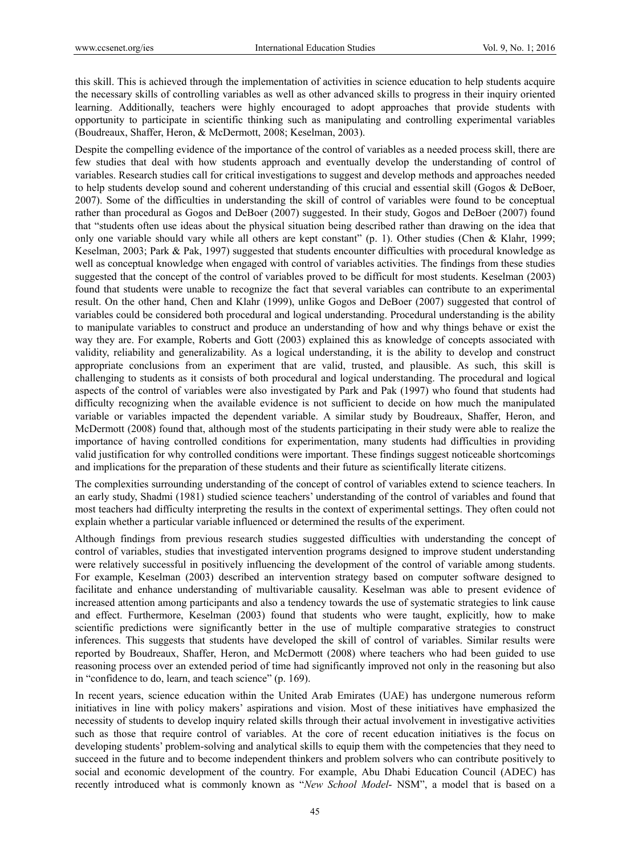this skill. This is achieved through the implementation of activities in science education to help students acquire the necessary skills of controlling variables as well as other advanced skills to progress in their inquiry oriented learning. Additionally, teachers were highly encouraged to adopt approaches that provide students with opportunity to participate in scientific thinking such as manipulating and controlling experimental variables (Boudreaux, Shaffer, Heron, & McDermott, 2008; Keselman, 2003).

Despite the compelling evidence of the importance of the control of variables as a needed process skill, there are few studies that deal with how students approach and eventually develop the understanding of control of variables. Research studies call for critical investigations to suggest and develop methods and approaches needed to help students develop sound and coherent understanding of this crucial and essential skill (Gogos & DeBoer, 2007). Some of the difficulties in understanding the skill of control of variables were found to be conceptual rather than procedural as Gogos and DeBoer (2007) suggested. In their study, Gogos and DeBoer (2007) found that "students often use ideas about the physical situation being described rather than drawing on the idea that only one variable should vary while all others are kept constant" (p. 1). Other studies (Chen & Klahr, 1999; Keselman, 2003; Park & Pak, 1997) suggested that students encounter difficulties with procedural knowledge as well as conceptual knowledge when engaged with control of variables activities. The findings from these studies suggested that the concept of the control of variables proved to be difficult for most students. Keselman (2003) found that students were unable to recognize the fact that several variables can contribute to an experimental result. On the other hand, Chen and Klahr (1999), unlike Gogos and DeBoer (2007) suggested that control of variables could be considered both procedural and logical understanding. Procedural understanding is the ability to manipulate variables to construct and produce an understanding of how and why things behave or exist the way they are. For example, Roberts and Gott (2003) explained this as knowledge of concepts associated with validity, reliability and generalizability. As a logical understanding, it is the ability to develop and construct appropriate conclusions from an experiment that are valid, trusted, and plausible. As such, this skill is challenging to students as it consists of both procedural and logical understanding. The procedural and logical aspects of the control of variables were also investigated by Park and Pak (1997) who found that students had difficulty recognizing when the available evidence is not sufficient to decide on how much the manipulated variable or variables impacted the dependent variable. A similar study by Boudreaux, Shaffer, Heron, and McDermott (2008) found that, although most of the students participating in their study were able to realize the importance of having controlled conditions for experimentation, many students had difficulties in providing valid justification for why controlled conditions were important. These findings suggest noticeable shortcomings and implications for the preparation of these students and their future as scientifically literate citizens.

The complexities surrounding understanding of the concept of control of variables extend to science teachers. In an early study, Shadmi (1981) studied science teachers' understanding of the control of variables and found that most teachers had difficulty interpreting the results in the context of experimental settings. They often could not explain whether a particular variable influenced or determined the results of the experiment.

Although findings from previous research studies suggested difficulties with understanding the concept of control of variables, studies that investigated intervention programs designed to improve student understanding were relatively successful in positively influencing the development of the control of variable among students. For example, Keselman (2003) described an intervention strategy based on computer software designed to facilitate and enhance understanding of multivariable causality. Keselman was able to present evidence of increased attention among participants and also a tendency towards the use of systematic strategies to link cause and effect. Furthermore, Keselman (2003) found that students who were taught, explicitly, how to make scientific predictions were significantly better in the use of multiple comparative strategies to construct inferences. This suggests that students have developed the skill of control of variables. Similar results were reported by Boudreaux, Shaffer, Heron, and McDermott (2008) where teachers who had been guided to use reasoning process over an extended period of time had significantly improved not only in the reasoning but also in "confidence to do, learn, and teach science" (p. 169).

In recent years, science education within the United Arab Emirates (UAE) has undergone numerous reform initiatives in line with policy makers' aspirations and vision. Most of these initiatives have emphasized the necessity of students to develop inquiry related skills through their actual involvement in investigative activities such as those that require control of variables. At the core of recent education initiatives is the focus on developing students' problem-solving and analytical skills to equip them with the competencies that they need to succeed in the future and to become independent thinkers and problem solvers who can contribute positively to social and economic development of the country. For example, Abu Dhabi Education Council (ADEC) has recently introduced what is commonly known as "*New School Model*- NSM", a model that is based on a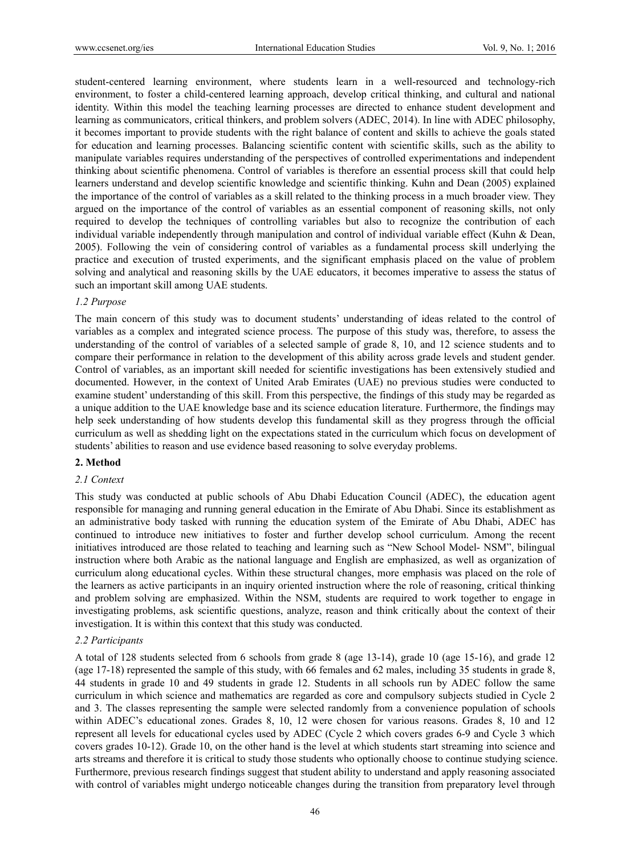student-centered learning environment, where students learn in a well-resourced and technology-rich environment, to foster a child-centered learning approach, develop critical thinking, and cultural and national identity. Within this model the teaching learning processes are directed to enhance student development and learning as communicators, critical thinkers, and problem solvers (ADEC, 2014). In line with ADEC philosophy, it becomes important to provide students with the right balance of content and skills to achieve the goals stated for education and learning processes. Balancing scientific content with scientific skills, such as the ability to manipulate variables requires understanding of the perspectives of controlled experimentations and independent thinking about scientific phenomena. Control of variables is therefore an essential process skill that could help learners understand and develop scientific knowledge and scientific thinking. Kuhn and Dean (2005) explained the importance of the control of variables as a skill related to the thinking process in a much broader view. They argued on the importance of the control of variables as an essential component of reasoning skills, not only required to develop the techniques of controlling variables but also to recognize the contribution of each individual variable independently through manipulation and control of individual variable effect (Kuhn & Dean, 2005). Following the vein of considering control of variables as a fundamental process skill underlying the practice and execution of trusted experiments, and the significant emphasis placed on the value of problem solving and analytical and reasoning skills by the UAE educators, it becomes imperative to assess the status of such an important skill among UAE students.

## *1.2 Purpose*

The main concern of this study was to document students' understanding of ideas related to the control of variables as a complex and integrated science process. The purpose of this study was, therefore, to assess the understanding of the control of variables of a selected sample of grade 8, 10, and 12 science students and to compare their performance in relation to the development of this ability across grade levels and student gender. Control of variables, as an important skill needed for scientific investigations has been extensively studied and documented. However, in the context of United Arab Emirates (UAE) no previous studies were conducted to examine student' understanding of this skill. From this perspective, the findings of this study may be regarded as a unique addition to the UAE knowledge base and its science education literature. Furthermore, the findings may help seek understanding of how students develop this fundamental skill as they progress through the official curriculum as well as shedding light on the expectations stated in the curriculum which focus on development of students' abilities to reason and use evidence based reasoning to solve everyday problems.

## **2. Method**

#### *2.1 Context*

This study was conducted at public schools of Abu Dhabi Education Council (ADEC), the education agent responsible for managing and running general education in the Emirate of Abu Dhabi. Since its establishment as an administrative body tasked with running the education system of the Emirate of Abu Dhabi, ADEC has continued to introduce new initiatives to foster and further develop school curriculum. Among the recent initiatives introduced are those related to teaching and learning such as "New School Model- NSM", bilingual instruction where both Arabic as the national language and English are emphasized, as well as organization of curriculum along educational cycles. Within these structural changes, more emphasis was placed on the role of the learners as active participants in an inquiry oriented instruction where the role of reasoning, critical thinking and problem solving are emphasized. Within the NSM, students are required to work together to engage in investigating problems, ask scientific questions, analyze, reason and think critically about the context of their investigation. It is within this context that this study was conducted.

## *2.2 Participants*

A total of 128 students selected from 6 schools from grade 8 (age 13-14), grade 10 (age 15-16), and grade 12 (age 17-18) represented the sample of this study, with 66 females and 62 males, including 35 students in grade 8, 44 students in grade 10 and 49 students in grade 12. Students in all schools run by ADEC follow the same curriculum in which science and mathematics are regarded as core and compulsory subjects studied in Cycle 2 and 3. The classes representing the sample were selected randomly from a convenience population of schools within ADEC's educational zones. Grades 8, 10, 12 were chosen for various reasons. Grades 8, 10 and 12 represent all levels for educational cycles used by ADEC (Cycle 2 which covers grades 6-9 and Cycle 3 which covers grades 10-12). Grade 10, on the other hand is the level at which students start streaming into science and arts streams and therefore it is critical to study those students who optionally choose to continue studying science. Furthermore, previous research findings suggest that student ability to understand and apply reasoning associated with control of variables might undergo noticeable changes during the transition from preparatory level through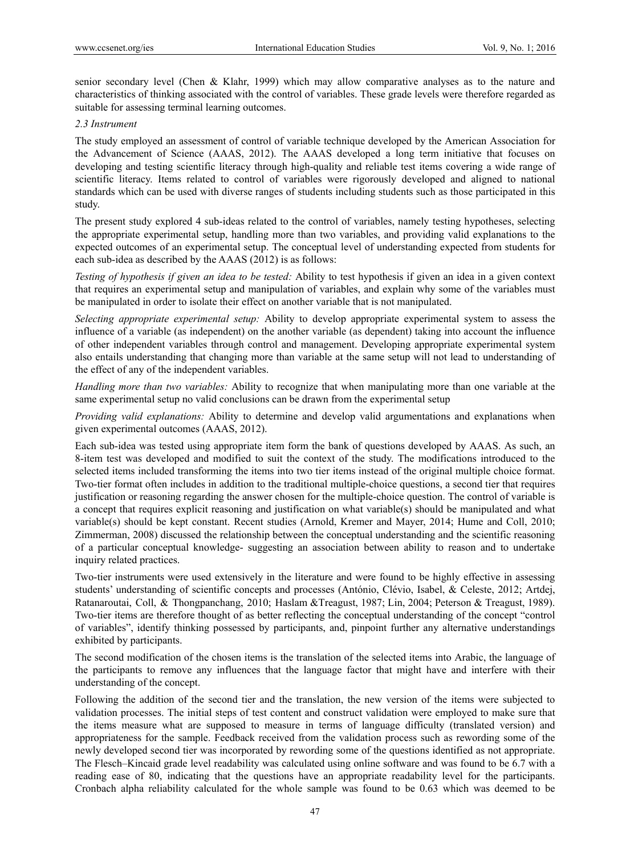senior secondary level (Chen & Klahr, 1999) which may allow comparative analyses as to the nature and characteristics of thinking associated with the control of variables. These grade levels were therefore regarded as suitable for assessing terminal learning outcomes.

# *2.3 Instrument*

The study employed an assessment of control of variable technique developed by the American Association for the Advancement of Science (AAAS, 2012). The AAAS developed a long term initiative that focuses on developing and testing scientific literacy through high-quality and reliable test items covering a wide range of scientific literacy. Items related to control of variables were rigorously developed and aligned to national standards which can be used with diverse ranges of students including students such as those participated in this study.

The present study explored 4 sub-ideas related to the control of variables, namely testing hypotheses, selecting the appropriate experimental setup, handling more than two variables, and providing valid explanations to the expected outcomes of an experimental setup. The conceptual level of understanding expected from students for each sub-idea as described by the AAAS (2012) is as follows:

*Testing of hypothesis if given an idea to be tested:* Ability to test hypothesis if given an idea in a given context that requires an experimental setup and manipulation of variables, and explain why some of the variables must be manipulated in order to isolate their effect on another variable that is not manipulated.

*Selecting appropriate experimental setup:* Ability to develop appropriate experimental system to assess the influence of a variable (as independent) on the another variable (as dependent) taking into account the influence of other independent variables through control and management. Developing appropriate experimental system also entails understanding that changing more than variable at the same setup will not lead to understanding of the effect of any of the independent variables.

*Handling more than two variables:* Ability to recognize that when manipulating more than one variable at the same experimental setup no valid conclusions can be drawn from the experimental setup

*Providing valid explanations:* Ability to determine and develop valid argumentations and explanations when given experimental outcomes (AAAS, 2012).

Each sub-idea was tested using appropriate item form the bank of questions developed by AAAS. As such, an 8-item test was developed and modified to suit the context of the study. The modifications introduced to the selected items included transforming the items into two tier items instead of the original multiple choice format. Two-tier format often includes in addition to the traditional multiple-choice questions, a second tier that requires justification or reasoning regarding the answer chosen for the multiple-choice question. The control of variable is a concept that requires explicit reasoning and justification on what variable(s) should be manipulated and what variable(s) should be kept constant. Recent studies (Arnold, Kremer and Mayer, 2014; Hume and Coll, 2010; Zimmerman, 2008) discussed the relationship between the conceptual understanding and the scientific reasoning of a particular conceptual knowledge- suggesting an association between ability to reason and to undertake inquiry related practices.

Two-tier instruments were used extensively in the literature and were found to be highly effective in assessing students' understanding of scientific concepts and processes (António, Clévio, Isabel, & Celeste, 2012; Artdej, Ratanaroutai, Coll, & Thongpanchang, 2010; Haslam &Treagust, 1987; Lin, 2004; Peterson & Treagust, 1989). Two-tier items are therefore thought of as better reflecting the conceptual understanding of the concept "control of variables", identify thinking possessed by participants, and, pinpoint further any alternative understandings exhibited by participants.

The second modification of the chosen items is the translation of the selected items into Arabic, the language of the participants to remove any influences that the language factor that might have and interfere with their understanding of the concept.

Following the addition of the second tier and the translation, the new version of the items were subjected to validation processes. The initial steps of test content and construct validation were employed to make sure that the items measure what are supposed to measure in terms of language difficulty (translated version) and appropriateness for the sample. Feedback received from the validation process such as rewording some of the newly developed second tier was incorporated by rewording some of the questions identified as not appropriate. The Flesch–Kincaid grade level readability was calculated using online software and was found to be 6.7 with a reading ease of 80, indicating that the questions have an appropriate readability level for the participants. Cronbach alpha reliability calculated for the whole sample was found to be 0.63 which was deemed to be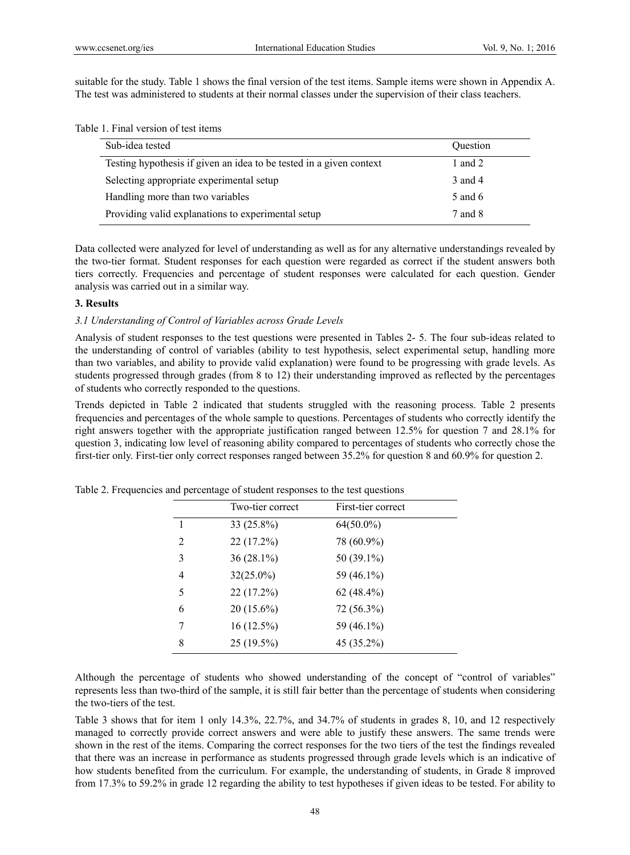suitable for the study. Table 1 shows the final version of the test items. Sample items were shown in Appendix A. The test was administered to students at their normal classes under the supervision of their class teachers.

Table 1. Final version of test items

| Sub-idea tested                                                     | <b>Ouestion</b> |
|---------------------------------------------------------------------|-----------------|
| Testing hypothesis if given an idea to be tested in a given context | 1 and $2$       |
| Selecting appropriate experimental setup                            | 3 and 4         |
| Handling more than two variables                                    | 5 and 6         |
| Providing valid explanations to experimental setup                  | 7 and 8         |

Data collected were analyzed for level of understanding as well as for any alternative understandings revealed by the two-tier format. Student responses for each question were regarded as correct if the student answers both tiers correctly. Frequencies and percentage of student responses were calculated for each question. Gender analysis was carried out in a similar way.

## **3. Results**

## *3.1 Understanding of Control of Variables across Grade Levels*

Analysis of student responses to the test questions were presented in Tables 2- 5. The four sub-ideas related to the understanding of control of variables (ability to test hypothesis, select experimental setup, handling more than two variables, and ability to provide valid explanation) were found to be progressing with grade levels. As students progressed through grades (from 8 to 12) their understanding improved as reflected by the percentages of students who correctly responded to the questions.

Trends depicted in Table 2 indicated that students struggled with the reasoning process. Table 2 presents frequencies and percentages of the whole sample to questions. Percentages of students who correctly identify the right answers together with the appropriate justification ranged between 12.5% for question 7 and 28.1% for question 3, indicating low level of reasoning ability compared to percentages of students who correctly chose the first-tier only. First-tier only correct responses ranged between 35.2% for question 8 and 60.9% for question 2.

|                | Two-tier correct | First-tier correct |
|----------------|------------------|--------------------|
| $\overline{1}$ | 33 (25.8%)       | $64(50.0\%)$       |
| 2              | 22 (17.2%)       | 78 (60.9%)         |
| 3              | $36(28.1\%)$     | 50 (39.1%)         |
| $\overline{4}$ | $32(25.0\%)$     | 59 (46.1%)         |
| 5              | 22 (17.2%)       | $62(48.4\%)$       |
| 6              | $20(15.6\%)$     | 72 (56.3%)         |
| 7              | 16(12.5%)        | 59 (46.1%)         |
| 8              | 25 (19.5%)       | 45 (35.2%)         |

Table 2. Frequencies and percentage of student responses to the test questions

Although the percentage of students who showed understanding of the concept of "control of variables" represents less than two-third of the sample, it is still fair better than the percentage of students when considering the two-tiers of the test.

Table 3 shows that for item 1 only 14.3%, 22.7%, and 34.7% of students in grades 8, 10, and 12 respectively managed to correctly provide correct answers and were able to justify these answers. The same trends were shown in the rest of the items. Comparing the correct responses for the two tiers of the test the findings revealed that there was an increase in performance as students progressed through grade levels which is an indicative of how students benefited from the curriculum. For example, the understanding of students, in Grade 8 improved from 17.3% to 59.2% in grade 12 regarding the ability to test hypotheses if given ideas to be tested. For ability to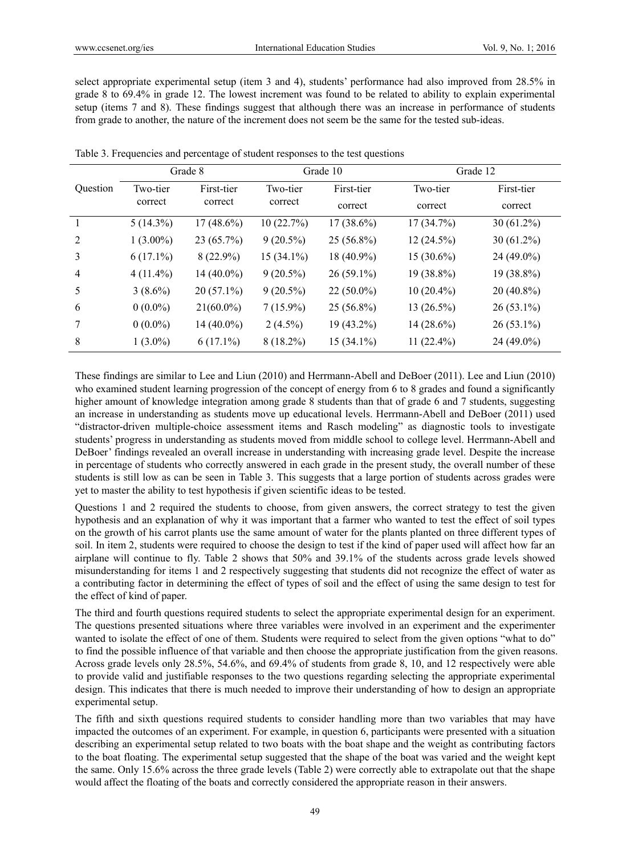select appropriate experimental setup (item 3 and 4), students' performance had also improved from 28.5% in grade 8 to 69.4% in grade 12. The lowest increment was found to be related to ability to explain experimental setup (items 7 and 8). These findings suggest that although there was an increase in performance of students from grade to another, the nature of the increment does not seem be the same for the tested sub-ideas.

|          | Grade 8     |                                              | Grade 10     |              | Grade 12     |              |
|----------|-------------|----------------------------------------------|--------------|--------------|--------------|--------------|
| Question | Two-tier    | First-tier<br>Two-tier<br>correct<br>correct |              | First-tier   | Two-tier     | First-tier   |
|          | correct     |                                              | correct      | correct      | correct      |              |
|          | $5(14.3\%)$ | $17(48.6\%)$                                 | 10(22.7%)    | $17(38.6\%)$ | 17(34.7%)    | $30(61.2\%)$ |
| 2        | $1(3.00\%)$ | 23 (65.7%)                                   | $9(20.5\%)$  | $25(56.8\%)$ | 12(24.5%)    | $30(61.2\%)$ |
| 3        | $6(17.1\%)$ | $8(22.9\%)$                                  | $15(34.1\%)$ | 18 (40.9%)   | $15(30.6\%)$ | 24 (49.0%)   |
| 4        | $4(11.4\%)$ | $14(40.0\%)$                                 | $9(20.5\%)$  | $26(59.1\%)$ | $19(38.8\%)$ | 19 (38.8%)   |
| 5        | $3(8.6\%)$  | $20(57.1\%)$                                 | $9(20.5\%)$  | $22(50.0\%)$ | $10(20.4\%)$ | $20(40.8\%)$ |
| 6        | $0(0.0\%)$  | $21(60.0\%)$                                 | $7(15.9\%)$  | $25(56.8\%)$ | $13(26.5\%)$ | $26(53.1\%)$ |
|          | $0(0.0\%)$  | $14(40.0\%)$                                 | $2(4.5\%)$   | $19(43.2\%)$ | $14(28.6\%)$ | $26(53.1\%)$ |
| 8        | $1(3.0\%)$  | $6(17.1\%)$                                  | $8(18.2\%)$  | $15(34.1\%)$ | $11(22.4\%)$ | 24 (49.0%)   |

Table 3. Frequencies and percentage of student responses to the test questions

These findings are similar to Lee and Liun (2010) and Herrmann-Abell and DeBoer (2011). Lee and Liun (2010) who examined student learning progression of the concept of energy from 6 to 8 grades and found a significantly higher amount of knowledge integration among grade 8 students than that of grade 6 and 7 students, suggesting an increase in understanding as students move up educational levels. Herrmann-Abell and DeBoer (2011) used "distractor-driven multiple-choice assessment items and Rasch modeling" as diagnostic tools to investigate students' progress in understanding as students moved from middle school to college level. Herrmann-Abell and DeBoer' findings revealed an overall increase in understanding with increasing grade level. Despite the increase in percentage of students who correctly answered in each grade in the present study, the overall number of these students is still low as can be seen in Table 3. This suggests that a large portion of students across grades were yet to master the ability to test hypothesis if given scientific ideas to be tested.

Questions 1 and 2 required the students to choose, from given answers, the correct strategy to test the given hypothesis and an explanation of why it was important that a farmer who wanted to test the effect of soil types on the growth of his carrot plants use the same amount of water for the plants planted on three different types of soil. In item 2, students were required to choose the design to test if the kind of paper used will affect how far an airplane will continue to fly. Table 2 shows that 50% and 39.1% of the students across grade levels showed misunderstanding for items 1 and 2 respectively suggesting that students did not recognize the effect of water as a contributing factor in determining the effect of types of soil and the effect of using the same design to test for the effect of kind of paper.

The third and fourth questions required students to select the appropriate experimental design for an experiment. The questions presented situations where three variables were involved in an experiment and the experimenter wanted to isolate the effect of one of them. Students were required to select from the given options "what to do" to find the possible influence of that variable and then choose the appropriate justification from the given reasons. Across grade levels only 28.5%, 54.6%, and 69.4% of students from grade 8, 10, and 12 respectively were able to provide valid and justifiable responses to the two questions regarding selecting the appropriate experimental design. This indicates that there is much needed to improve their understanding of how to design an appropriate experimental setup.

The fifth and sixth questions required students to consider handling more than two variables that may have impacted the outcomes of an experiment. For example, in question 6, participants were presented with a situation describing an experimental setup related to two boats with the boat shape and the weight as contributing factors to the boat floating. The experimental setup suggested that the shape of the boat was varied and the weight kept the same. Only 15.6% across the three grade levels (Table 2) were correctly able to extrapolate out that the shape would affect the floating of the boats and correctly considered the appropriate reason in their answers.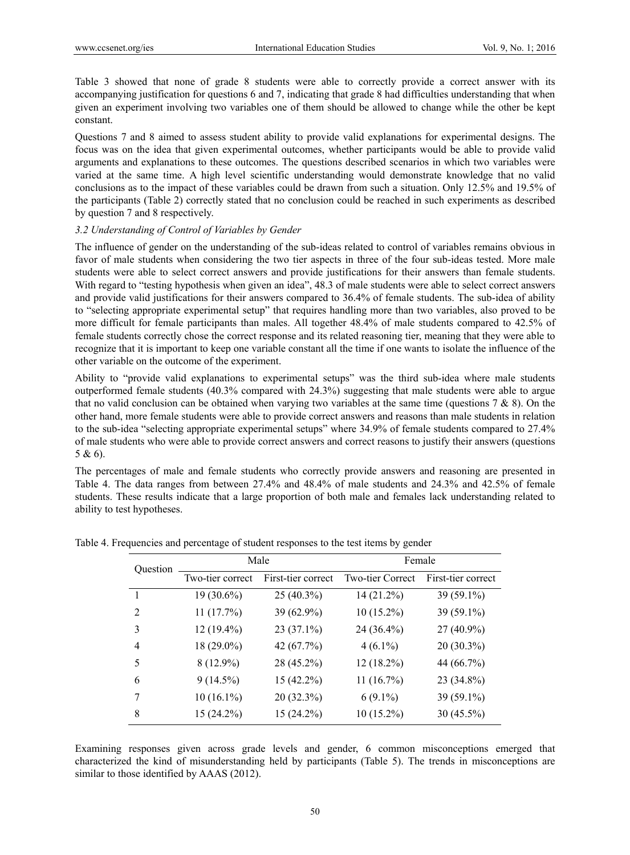Table 3 showed that none of grade 8 students were able to correctly provide a correct answer with its accompanying justification for questions 6 and 7, indicating that grade 8 had difficulties understanding that when given an experiment involving two variables one of them should be allowed to change while the other be kept constant.

Questions 7 and 8 aimed to assess student ability to provide valid explanations for experimental designs. The focus was on the idea that given experimental outcomes, whether participants would be able to provide valid arguments and explanations to these outcomes. The questions described scenarios in which two variables were varied at the same time. A high level scientific understanding would demonstrate knowledge that no valid conclusions as to the impact of these variables could be drawn from such a situation. Only 12.5% and 19.5% of the participants (Table 2) correctly stated that no conclusion could be reached in such experiments as described by question 7 and 8 respectively.

## *3.2 Understanding of Control of Variables by Gender*

The influence of gender on the understanding of the sub-ideas related to control of variables remains obvious in favor of male students when considering the two tier aspects in three of the four sub-ideas tested. More male students were able to select correct answers and provide justifications for their answers than female students. With regard to "testing hypothesis when given an idea", 48.3 of male students were able to select correct answers and provide valid justifications for their answers compared to 36.4% of female students. The sub-idea of ability to "selecting appropriate experimental setup" that requires handling more than two variables, also proved to be more difficult for female participants than males. All together 48.4% of male students compared to 42.5% of female students correctly chose the correct response and its related reasoning tier, meaning that they were able to recognize that it is important to keep one variable constant all the time if one wants to isolate the influence of the other variable on the outcome of the experiment.

Ability to "provide valid explanations to experimental setups" was the third sub-idea where male students outperformed female students (40.3% compared with 24.3%) suggesting that male students were able to argue that no valid conclusion can be obtained when varying two variables at the same time (questions  $7 \& 8$ ). On the other hand, more female students were able to provide correct answers and reasons than male students in relation to the sub-idea "selecting appropriate experimental setups" where 34.9% of female students compared to 27.4% of male students who were able to provide correct answers and correct reasons to justify their answers (questions 5 & 6).

The percentages of male and female students who correctly provide answers and reasoning are presented in Table 4. The data ranges from between 27.4% and 48.4% of male students and 24.3% and 42.5% of female students. These results indicate that a large proportion of both male and females lack understanding related to ability to test hypotheses.

| Question | Male             |                    | Female           |                    |  |
|----------|------------------|--------------------|------------------|--------------------|--|
|          | Two-tier correct | First-tier correct | Two-tier Correct | First-tier correct |  |
|          | 19 (30.6%)       | 25 (40.3%)         | 14 (21.2%)       | 39 (59.1%)         |  |
| 2        | 11(17.7%)        | 39 (62.9%)         | $10(15.2\%)$     | 39 (59.1%)         |  |
| 3        | $12(19.4\%)$     | $23(37.1\%)$       | 24 (36.4%)       | $27(40.9\%)$       |  |
| 4        | 18 (29.0%)       | 42 (67.7%)         | $4(6.1\%)$       | $20(30.3\%)$       |  |
| 5        | $8(12.9\%)$      | 28 (45.2%)         | 12 (18.2%)       | 44 (66.7%)         |  |
| 6        | $9(14.5\%)$      | $15(42.2\%)$       | 11(16.7%)        | 23 (34.8%)         |  |
| 7        | $10(16.1\%)$     | 20 (32.3%)         | $6(9.1\%)$       | 39 (59.1%)         |  |
| 8        | $15(24.2\%)$     | $15(24.2\%)$       | $10(15.2\%)$     | 30 (45.5%)         |  |

Table 4. Frequencies and percentage of student responses to the test items by gender

Examining responses given across grade levels and gender, 6 common misconceptions emerged that characterized the kind of misunderstanding held by participants (Table 5). The trends in misconceptions are similar to those identified by AAAS (2012).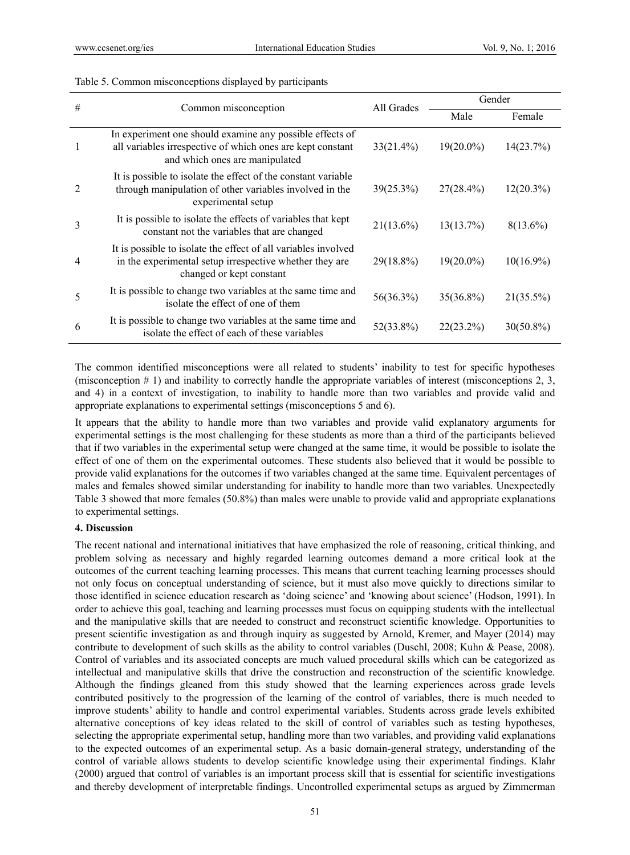| #              | Common misconception                                                                                                                                     | All Grades   | Gender       |              |
|----------------|----------------------------------------------------------------------------------------------------------------------------------------------------------|--------------|--------------|--------------|
|                |                                                                                                                                                          |              | Male         | Female       |
|                | In experiment one should examine any possible effects of<br>all variables irrespective of which ones are kept constant<br>and which ones are manipulated | 33(21.4%)    | $19(20.0\%)$ | 14(23.7%)    |
| $\mathfrak{D}$ | It is possible to isolate the effect of the constant variable<br>through manipulation of other variables involved in the<br>experimental setup           | $39(25.3\%)$ | $27(28.4\%)$ | $12(20.3\%)$ |
| 3              | It is possible to isolate the effects of variables that kept<br>constant not the variables that are changed                                              | $21(13.6\%)$ | 13(13.7%)    | $8(13.6\%)$  |
| 4              | It is possible to isolate the effect of all variables involved<br>in the experimental setup irrespective whether they are<br>changed or kept constant    | 29(18.8%)    | $19(20.0\%)$ | $10(16.9\%)$ |
| 5              | It is possible to change two variables at the same time and<br>isolate the effect of one of them                                                         | 56(36.3%)    | $35(36.8\%)$ | $21(35.5\%)$ |
| 6              | It is possible to change two variables at the same time and<br>isolate the effect of each of these variables                                             | 52(33.8%)    | $22(23.2\%)$ | $30(50.8\%)$ |

#### Table 5. Common misconceptions displayed by participants

The common identified misconceptions were all related to students' inability to test for specific hypotheses (misconception # 1) and inability to correctly handle the appropriate variables of interest (misconceptions 2, 3, and 4) in a context of investigation, to inability to handle more than two variables and provide valid and appropriate explanations to experimental settings (misconceptions 5 and 6).

It appears that the ability to handle more than two variables and provide valid explanatory arguments for experimental settings is the most challenging for these students as more than a third of the participants believed that if two variables in the experimental setup were changed at the same time, it would be possible to isolate the effect of one of them on the experimental outcomes. These students also believed that it would be possible to provide valid explanations for the outcomes if two variables changed at the same time. Equivalent percentages of males and females showed similar understanding for inability to handle more than two variables. Unexpectedly Table 3 showed that more females (50.8%) than males were unable to provide valid and appropriate explanations to experimental settings.

#### **4. Discussion**

The recent national and international initiatives that have emphasized the role of reasoning, critical thinking, and problem solving as necessary and highly regarded learning outcomes demand a more critical look at the outcomes of the current teaching learning processes. This means that current teaching learning processes should not only focus on conceptual understanding of science, but it must also move quickly to directions similar to those identified in science education research as 'doing science' and 'knowing about science' (Hodson, 1991). In order to achieve this goal, teaching and learning processes must focus on equipping students with the intellectual and the manipulative skills that are needed to construct and reconstruct scientific knowledge. Opportunities to present scientific investigation as and through inquiry as suggested by Arnold, Kremer, and Mayer (2014) may contribute to development of such skills as the ability to control variables (Duschl, 2008; Kuhn & Pease, 2008). Control of variables and its associated concepts are much valued procedural skills which can be categorized as intellectual and manipulative skills that drive the construction and reconstruction of the scientific knowledge. Although the findings gleaned from this study showed that the learning experiences across grade levels contributed positively to the progression of the learning of the control of variables, there is much needed to improve students' ability to handle and control experimental variables. Students across grade levels exhibited alternative conceptions of key ideas related to the skill of control of variables such as testing hypotheses, selecting the appropriate experimental setup, handling more than two variables, and providing valid explanations to the expected outcomes of an experimental setup. As a basic domain-general strategy, understanding of the control of variable allows students to develop scientific knowledge using their experimental findings. Klahr (2000) argued that control of variables is an important process skill that is essential for scientific investigations and thereby development of interpretable findings. Uncontrolled experimental setups as argued by Zimmerman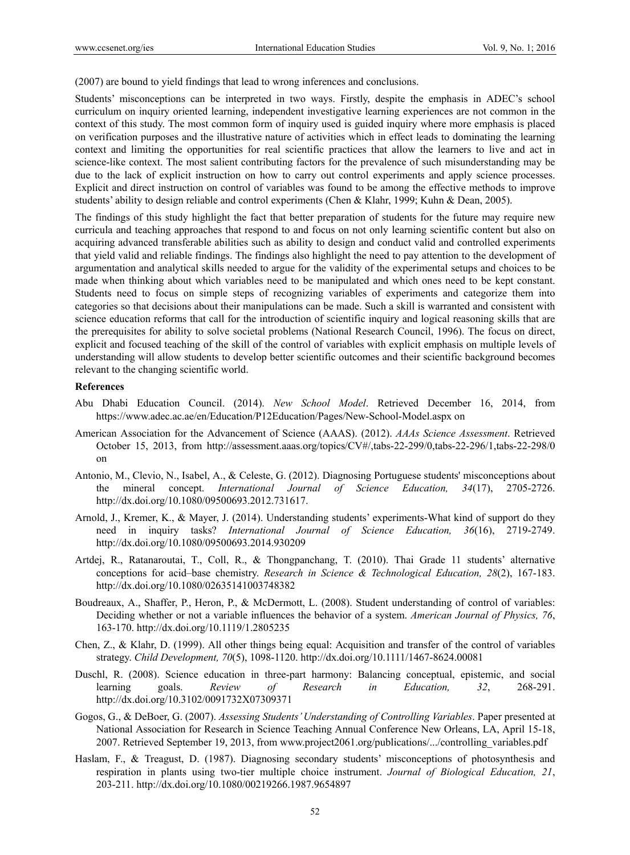(2007) are bound to yield findings that lead to wrong inferences and conclusions.

Students' misconceptions can be interpreted in two ways. Firstly, despite the emphasis in ADEC's school curriculum on inquiry oriented learning, independent investigative learning experiences are not common in the context of this study. The most common form of inquiry used is guided inquiry where more emphasis is placed on verification purposes and the illustrative nature of activities which in effect leads to dominating the learning context and limiting the opportunities for real scientific practices that allow the learners to live and act in science-like context. The most salient contributing factors for the prevalence of such misunderstanding may be due to the lack of explicit instruction on how to carry out control experiments and apply science processes. Explicit and direct instruction on control of variables was found to be among the effective methods to improve students' ability to design reliable and control experiments (Chen & Klahr, 1999; Kuhn & Dean, 2005).

The findings of this study highlight the fact that better preparation of students for the future may require new curricula and teaching approaches that respond to and focus on not only learning scientific content but also on acquiring advanced transferable abilities such as ability to design and conduct valid and controlled experiments that yield valid and reliable findings. The findings also highlight the need to pay attention to the development of argumentation and analytical skills needed to argue for the validity of the experimental setups and choices to be made when thinking about which variables need to be manipulated and which ones need to be kept constant. Students need to focus on simple steps of recognizing variables of experiments and categorize them into categories so that decisions about their manipulations can be made. Such a skill is warranted and consistent with science education reforms that call for the introduction of scientific inquiry and logical reasoning skills that are the prerequisites for ability to solve societal problems (National Research Council, 1996). The focus on direct, explicit and focused teaching of the skill of the control of variables with explicit emphasis on multiple levels of understanding will allow students to develop better scientific outcomes and their scientific background becomes relevant to the changing scientific world.

#### **References**

- Abu Dhabi Education Council. (2014). *New School Model*. Retrieved December 16, 2014, from https://www.adec.ac.ae/en/Education/P12Education/Pages/New-School-Model.aspx on
- American Association for the Advancement of Science (AAAS). (2012). *AAAs Science Assessment*. Retrieved October 15, 2013, from http://assessment.aaas.org/topics/CV#/,tabs-22-299/0,tabs-22-296/1,tabs-22-298/0 on
- Antonio, M., Clevio, N., Isabel, A., & Celeste, G. (2012). Diagnosing Portuguese students' misconceptions about the mineral concept. *International Journal of Science Education, 34*(17), 2705-2726. http://dx.doi.org/10.1080/09500693.2012.731617.
- Arnold, J., Kremer, K., & Mayer, J. (2014). Understanding students' experiments-What kind of support do they need in inquiry tasks? *International Journal of Science Education, 36*(16), 2719-2749. http://dx.doi.org/10.1080/09500693.2014.930209
- Artdej, R., Ratanaroutai, T., Coll, R., & Thongpanchang, T. (2010). Thai Grade 11 students' alternative conceptions for acid–base chemistry. *Research in Science & Technological Education, 28*(2), 167-183. http://dx.doi.org/10.1080/02635141003748382
- Boudreaux, A., Shaffer, P., Heron, P., & McDermott, L. (2008). Student understanding of control of variables: Deciding whether or not a variable influences the behavior of a system. *American Journal of Physics, 76*, 163-170. http://dx.doi.org/10.1119/1.2805235
- Chen, Z., & Klahr, D. (1999). All other things being equal: Acquisition and transfer of the control of variables strategy. *Child Development, 70*(5), 1098-1120. http://dx.doi.org/10.1111/1467-8624.00081
- Duschl, R. (2008). Science education in three-part harmony: Balancing conceptual, epistemic, and social learning goals. *Review of Research in Education, 32*, 268-291. http://dx.doi.org/10.3102/0091732X07309371
- Gogos, G., & DeBoer, G. (2007). *Assessing Students' Understanding of Controlling Variables*. Paper presented at National Association for Research in Science Teaching Annual Conference New Orleans, LA, April 15-18, 2007. Retrieved September 19, 2013, from www.project2061.org/publications/.../controlling\_variables.pdf
- Haslam, F., & Treagust, D. (1987). Diagnosing secondary students' misconceptions of photosynthesis and respiration in plants using two-tier multiple choice instrument. *Journal of Biological Education, 21*, 203-211. http://dx.doi.org/10.1080/00219266.1987.9654897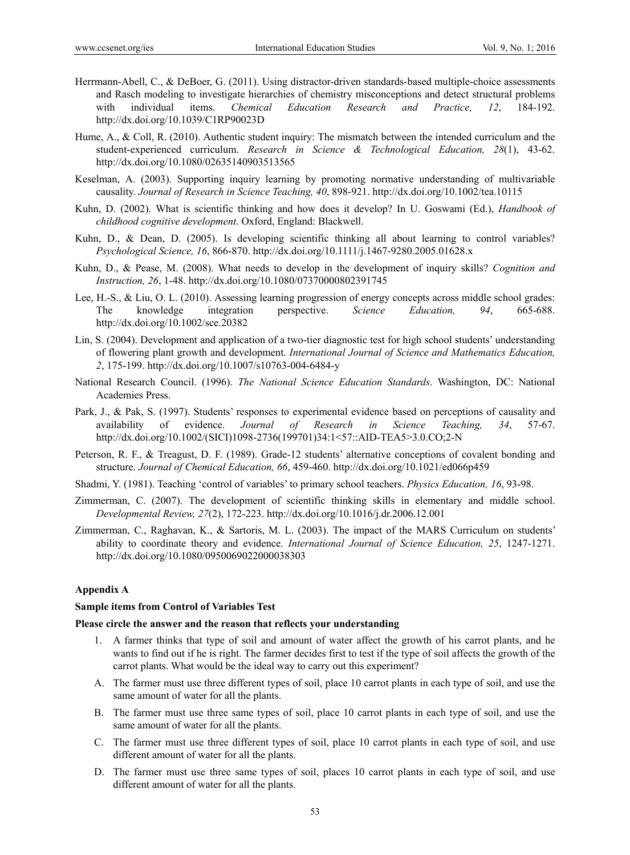- Herrmann-Abell, C., & DeBoer, G. (2011). Using distractor-driven standards-based multiple-choice assessments and Rasch modeling to investigate hierarchies of chemistry misconceptions and detect structural problems with individual items. *Chemical Education Research and Practice, 12*, 184-192. http://dx.doi.org/10.1039/C1RP90023D
- Hume, A., & Coll, R. (2010). Authentic student inquiry: The mismatch between the intended curriculum and the student-experienced curriculum. *Research in Science & Technological Education, 28*(1), 43-62. http://dx.doi.org/10.1080/02635140903513565
- Keselman, A. (2003). Supporting inquiry learning by promoting normative understanding of multivariable causality. *Journal of Research in Science Teaching, 40*, 898-921. http://dx.doi.org/10.1002/tea.10115
- Kuhn, D. (2002). What is scientific thinking and how does it develop? In U. Goswami (Ed.), *Handbook of childhood cognitive development*. Oxford, England: Blackwell.
- Kuhn, D., & Dean, D. (2005). Is developing scientific thinking all about learning to control variables? *Psychological Science, 16*, 866-870. http://dx.doi.org/10.1111/j.1467-9280.2005.01628.x
- Kuhn, D., & Pease, M. (2008). What needs to develop in the development of inquiry skills? *Cognition and Instruction, 26*, 1-48. http://dx.doi.org/10.1080/07370000802391745
- Lee, H.-S., & Liu, O. L. (2010). Assessing learning progression of energy concepts across middle school grades: The knowledge integration perspective. *Science Education, 94*, 665-688. http://dx.doi.org/10.1002/sce.20382
- Lin, S. (2004). Development and application of a two-tier diagnostic test for high school students' understanding of flowering plant growth and development. *International Journal of Science and Mathematics Education, 2*, 175-199. http://dx.doi.org/10.1007/s10763-004-6484-y
- National Research Council. (1996). *The National Science Education Standards*. Washington, DC: National Academies Press.
- Park, J., & Pak, S. (1997). Students' responses to experimental evidence based on perceptions of causality and availability of evidence. *Journal of Research in Science Teaching, 34*, 57-67. http://dx.doi.org/10.1002/(SICI)1098-2736(199701)34:1<57::AID-TEA5>3.0.CO;2-N
- Peterson, R. F., & Treagust, D. F. (1989). Grade-12 students' alternative conceptions of covalent bonding and structure. *Journal of Chemical Education, 66*, 459-460. http://dx.doi.org/10.1021/ed066p459
- Shadmi, Y. (1981). Teaching 'control of variables' to primary school teachers. *Physics Education, 16*, 93-98.
- Zimmerman, C. (2007). The development of scientific thinking skills in elementary and middle school. *Developmental Review, 27*(2), 172-223. http://dx.doi.org/10.1016/j.dr.2006.12.001
- Zimmerman, C., Raghavan, K., & Sartoris, M. L. (2003). The impact of the MARS Curriculum on students' ability to coordinate theory and evidence. *International Journal of Science Education, 25*, 1247-1271. http://dx.doi.org/10.1080/0950069022000038303

## **Appendix A**

#### **Sample items from Control of Variables Test**

#### **Please circle the answer and the reason that reflects your understanding**

- 1. A farmer thinks that type of soil and amount of water affect the growth of his carrot plants, and he wants to find out if he is right. The farmer decides first to test if the type of soil affects the growth of the carrot plants. What would be the ideal way to carry out this experiment?
- A. The farmer must use three different types of soil, place 10 carrot plants in each type of soil, and use the same amount of water for all the plants.
- B. The farmer must use three same types of soil, place 10 carrot plants in each type of soil, and use the same amount of water for all the plants.
- C. The farmer must use three different types of soil, place 10 carrot plants in each type of soil, and use different amount of water for all the plants.
- D. The farmer must use three same types of soil, places 10 carrot plants in each type of soil, and use different amount of water for all the plants.